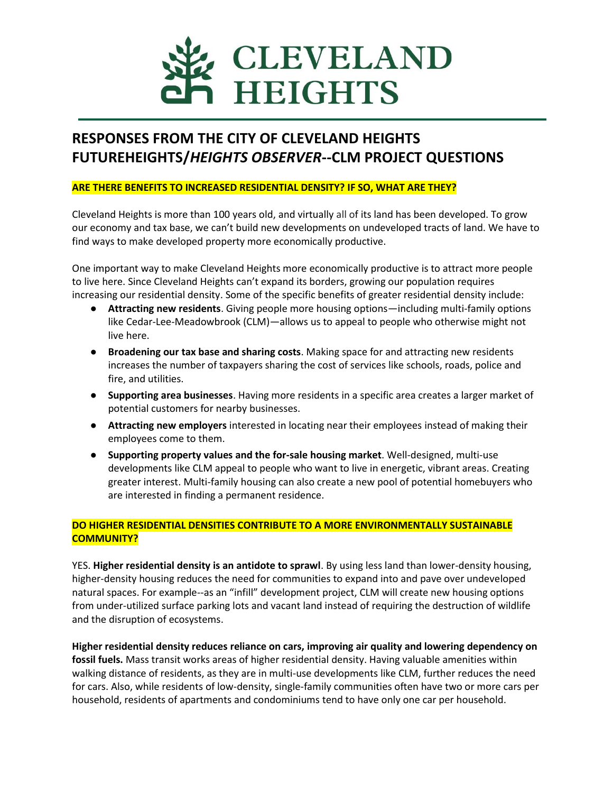

# **RESPONSES FROM THE CITY OF CLEVELAND HEIGHTS FUTUREHEIGHTS/***HEIGHTS OBSERVER***--CLM PROJECT QUESTIONS**

# **ARE THERE BENEFITS TO INCREASED RESIDENTIAL DENSITY? IF SO, WHAT ARE THEY?**

Cleveland Heights is more than 100 years old, and virtually all of its land has been developed. To grow our economy and tax base, we can't build new developments on undeveloped tracts of land. We have to find ways to make developed property more economically productive.

One important way to make Cleveland Heights more economically productive is to attract more people to live here. Since Cleveland Heights can't expand its borders, growing our population requires increasing our residential density. Some of the specific benefits of greater residential density include:

- **Attracting new residents**. Giving people more housing options—including multi-family options like Cedar-Lee-Meadowbrook (CLM)—allows us to appeal to people who otherwise might not live here.
- **Broadening our tax base and sharing costs**. Making space for and attracting new residents increases the number of taxpayers sharing the cost of services like schools, roads, police and fire, and utilities.
- **Supporting area businesses**. Having more residents in a specific area creates a larger market of potential customers for nearby businesses.
- **Attracting new employers** interested in locating near their employees instead of making their employees come to them.
- **Supporting property values and the for-sale housing market**. Well-designed, multi-use developments like CLM appeal to people who want to live in energetic, vibrant areas. Creating greater interest. Multi-family housing can also create a new pool of potential homebuyers who are interested in finding a permanent residence.

# **DO HIGHER RESIDENTIAL DENSITIES CONTRIBUTE TO A MORE ENVIRONMENTALLY SUSTAINABLE COMMUNITY?**

YES. **Higher residential density is an antidote to sprawl**. By using less land than lower-density housing, higher-density housing reduces the need for communities to expand into and pave over undeveloped natural spaces. For example--as an "infill" development project, CLM will create new housing options from under-utilized surface parking lots and vacant land instead of requiring the destruction of wildlife and the disruption of ecosystems.

**Higher residential density reduces reliance on cars, improving air quality and lowering dependency on fossil fuels.** Mass transit works areas of higher residential density. Having valuable amenities within walking distance of residents, as they are in multi-use developments like CLM, further reduces the need for cars. Also, while residents of low-density, single-family communities often have two or more cars per household, residents of apartments and condominiums tend to have only one car per household.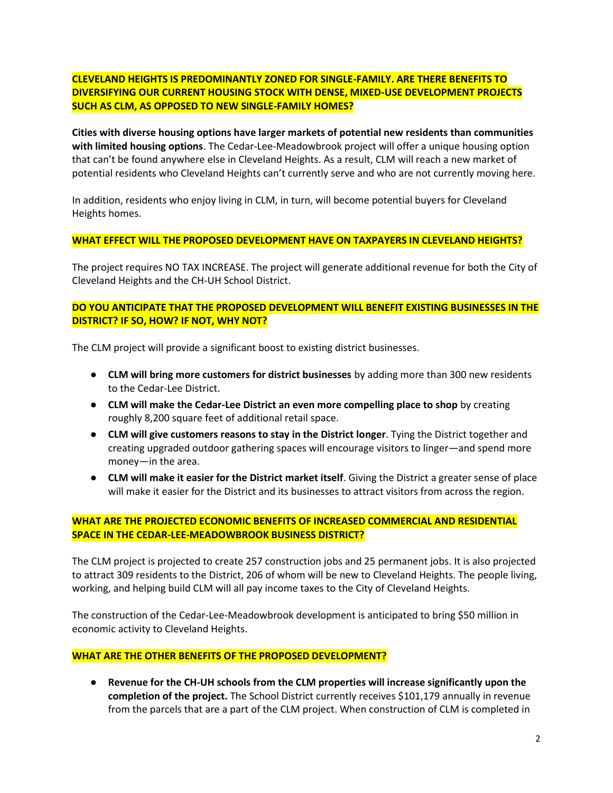# **CLEVELAND HEIGHTS IS PREDOMINANTLY ZONED FOR SINGLE-FAMILY. ARE THERE BENEFITS TO DIVERSIFYING OUR CURRENT HOUSING STOCK WITH DENSE, MIXED-USE DEVELOPMENT PROJECTS SUCH AS CLM, AS OPPOSED TO NEW SINGLE-FAMILY HOMES?**

**Cities with diverse housing options have larger markets of potential new residents than communities with limited housing options**. The Cedar-Lee-Meadowbrook project will offer a unique housing option that can't be found anywhere else in Cleveland Heights. As a result, CLM will reach a new market of potential residents who Cleveland Heights can't currently serve and who are not currently moving here.

In addition, residents who enjoy living in CLM, in turn, will become potential buyers for Cleveland Heights homes.

## **WHAT EFFECT WILL THE PROPOSED DEVELOPMENT HAVE ON TAXPAYERS IN CLEVELAND HEIGHTS?**

The project requires NO TAX INCREASE. The project will generate additional revenue for both the City of Cleveland Heights and the CH-UH School District.

# **DO YOU ANTICIPATE THAT THE PROPOSED DEVELOPMENT WILL BENEFIT EXISTING BUSINESSES IN THE DISTRICT? IF SO, HOW? IF NOT, WHY NOT?**

The CLM project will provide a significant boost to existing district businesses.

- **CLM will bring more customers for district businesses** by adding more than 300 new residents to the Cedar-Lee District.
- **CLM will make the Cedar-Lee District an even more compelling place to shop** by creating roughly 8,200 square feet of additional retail space.
- **CLM will give customers reasons to stay in the District longer**. Tying the District together and creating upgraded outdoor gathering spaces will encourage visitors to linger—and spend more money—in the area.
- **CLM will make it easier for the District market itself**. Giving the District a greater sense of place will make it easier for the District and its businesses to attract visitors from across the region.

# **WHAT ARE THE PROJECTED ECONOMIC BENEFITS OF INCREASED COMMERCIAL AND RESIDENTIAL SPACE IN THE CEDAR-LEE-MEADOWBROOK BUSINESS DISTRICT?**

The CLM project is projected to create 257 construction jobs and 25 permanent jobs. It is also projected to attract 309 residents to the District, 206 of whom will be new to Cleveland Heights. The people living, working, and helping build CLM will all pay income taxes to the City of Cleveland Heights.

The construction of the Cedar-Lee-Meadowbrook development is anticipated to bring \$50 million in economic activity to Cleveland Heights.

#### **WHAT ARE THE OTHER BENEFITS OF THE PROPOSED DEVELOPMENT?**

● **Revenue for the CH-UH schools from the CLM properties will increase significantly upon the completion of the project.** The School District currently receives \$101,179 annually in revenue from the parcels that are a part of the CLM project. When construction of CLM is completed in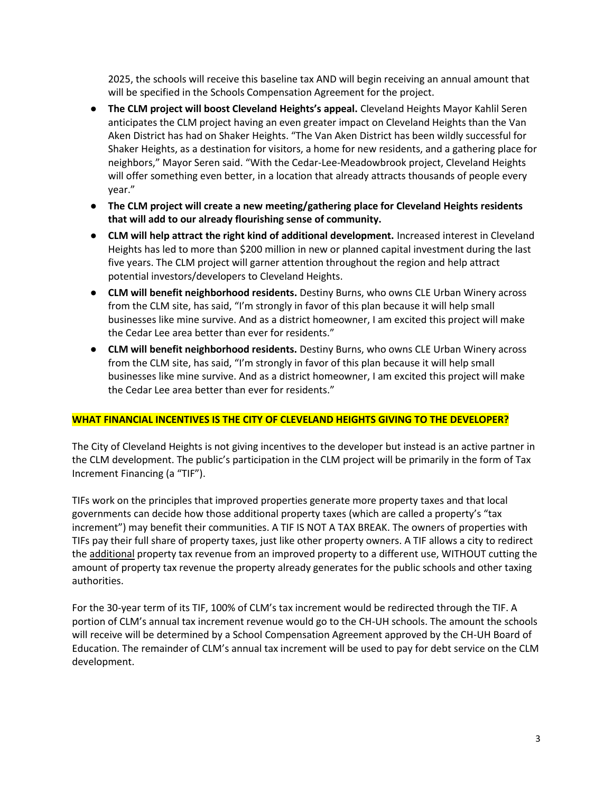2025, the schools will receive this baseline tax AND will begin receiving an annual amount that will be specified in the Schools Compensation Agreement for the project.

- **The CLM project will boost Cleveland Heights's appeal.** Cleveland Heights Mayor Kahlil Seren anticipates the CLM project having an even greater impact on Cleveland Heights than the Van Aken District has had on Shaker Heights. "The Van Aken District has been wildly successful for Shaker Heights, as a destination for visitors, a home for new residents, and a gathering place for neighbors," Mayor Seren said. "With the Cedar-Lee-Meadowbrook project, Cleveland Heights will offer something even better, in a location that already attracts thousands of people every year."
- **The CLM project will create a new meeting/gathering place for Cleveland Heights residents that will add to our already flourishing sense of community.**
- **CLM will help attract the right kind of additional development.** Increased interest in Cleveland Heights has led to more than \$200 million in new or planned capital investment during the last five years. The CLM project will garner attention throughout the region and help attract potential investors/developers to Cleveland Heights.
- **CLM will benefit neighborhood residents.** Destiny Burns, who owns CLE Urban Winery across from the CLM site, has said, "I'm strongly in favor of this plan because it will help small businesses like mine survive. And as a district homeowner, I am excited this project will make the Cedar Lee area better than ever for residents."
- **CLM will benefit neighborhood residents.** Destiny Burns, who owns CLE Urban Winery across from the CLM site, has said, "I'm strongly in favor of this plan because it will help small businesses like mine survive. And as a district homeowner, I am excited this project will make the Cedar Lee area better than ever for residents."

# **WHAT FINANCIAL INCENTIVES IS THE CITY OF CLEVELAND HEIGHTS GIVING TO THE DEVELOPER?**

The City of Cleveland Heights is not giving incentives to the developer but instead is an active partner in the CLM development. The public's participation in the CLM project will be primarily in the form of Tax Increment Financing (a "TIF").

TIFs work on the principles that improved properties generate more property taxes and that local governments can decide how those additional property taxes (which are called a property's "tax increment") may benefit their communities. A TIF IS NOT A TAX BREAK. The owners of properties with TIFs pay their full share of property taxes, just like other property owners. A TIF allows a city to redirect the **additional** property tax revenue from an improved property to a different use, WITHOUT cutting the amount of property tax revenue the property already generates for the public schools and other taxing authorities.

For the 30-year term of its TIF, 100% of CLM's tax increment would be redirected through the TIF. A portion of CLM's annual tax increment revenue would go to the CH-UH schools. The amount the schools will receive will be determined by a School Compensation Agreement approved by the CH-UH Board of Education. The remainder of CLM's annual tax increment will be used to pay for debt service on the CLM development.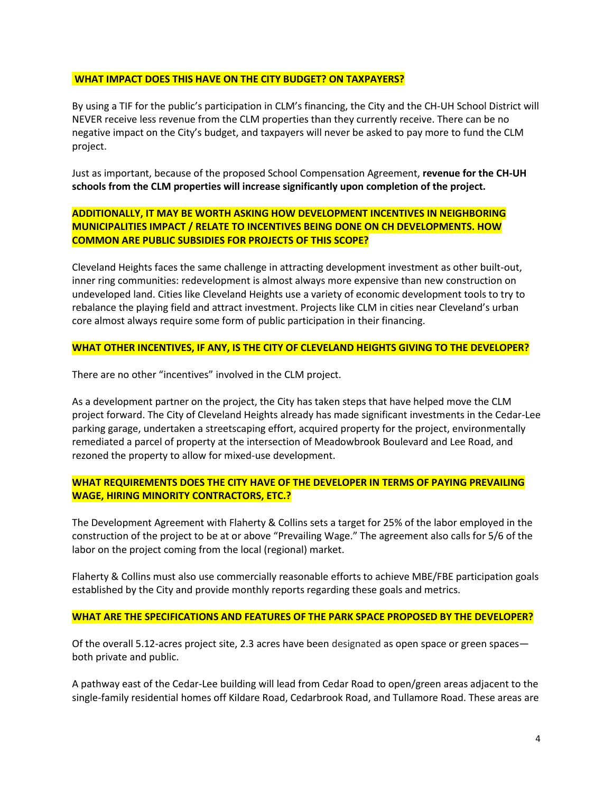## **WHAT IMPACT DOES THIS HAVE ON THE CITY BUDGET? ON TAXPAYERS?**

By using a TIF for the public's participation in CLM's financing, the City and the CH-UH School District will NEVER receive less revenue from the CLM properties than they currently receive. There can be no negative impact on the City's budget, and taxpayers will never be asked to pay more to fund the CLM project.

Just as important, because of the proposed School Compensation Agreement, **revenue for the CH-UH schools from the CLM properties will increase significantly upon completion of the project.**

# **ADDITIONALLY, IT MAY BE WORTH ASKING HOW DEVELOPMENT INCENTIVES IN NEIGHBORING MUNICIPALITIES IMPACT / RELATE TO INCENTIVES BEING DONE ON CH DEVELOPMENTS. HOW COMMON ARE PUBLIC SUBSIDIES FOR PROJECTS OF THIS SCOPE?**

Cleveland Heights faces the same challenge in attracting development investment as other built-out, inner ring communities: redevelopment is almost always more expensive than new construction on undeveloped land. Cities like Cleveland Heights use a variety of economic development tools to try to rebalance the playing field and attract investment. Projects like CLM in cities near Cleveland's urban core almost always require some form of public participation in their financing.

## **WHAT OTHER INCENTIVES, IF ANY, IS THE CITY OF CLEVELAND HEIGHTS GIVING TO THE DEVELOPER?**

There are no other "incentives" involved in the CLM project.

As a development partner on the project, the City has taken steps that have helped move the CLM project forward. The City of Cleveland Heights already has made significant investments in the Cedar-Lee parking garage, undertaken a streetscaping effort, acquired property for the project, environmentally remediated a parcel of property at the intersection of Meadowbrook Boulevard and Lee Road, and rezoned the property to allow for mixed-use development.

# **WHAT REQUIREMENTS DOES THE CITY HAVE OF THE DEVELOPER IN TERMS OF PAYING PREVAILING WAGE, HIRING MINORITY CONTRACTORS, ETC.?**

The Development Agreement with Flaherty & Collins sets a target for 25% of the labor employed in the construction of the project to be at or above "Prevailing Wage." The agreement also calls for 5/6 of the labor on the project coming from the local (regional) market.

Flaherty & Collins must also use commercially reasonable efforts to achieve MBE/FBE participation goals established by the City and provide monthly reports regarding these goals and metrics.

# **WHAT ARE THE SPECIFICATIONS AND FEATURES OF THE PARK SPACE PROPOSED BY THE DEVELOPER?**

Of the overall 5.12-acres project site, 2.3 acres have been designated as open space or green spaces both private and public.

A pathway east of the Cedar-Lee building will lead from Cedar Road to open/green areas adjacent to the single-family residential homes off Kildare Road, Cedarbrook Road, and Tullamore Road. These areas are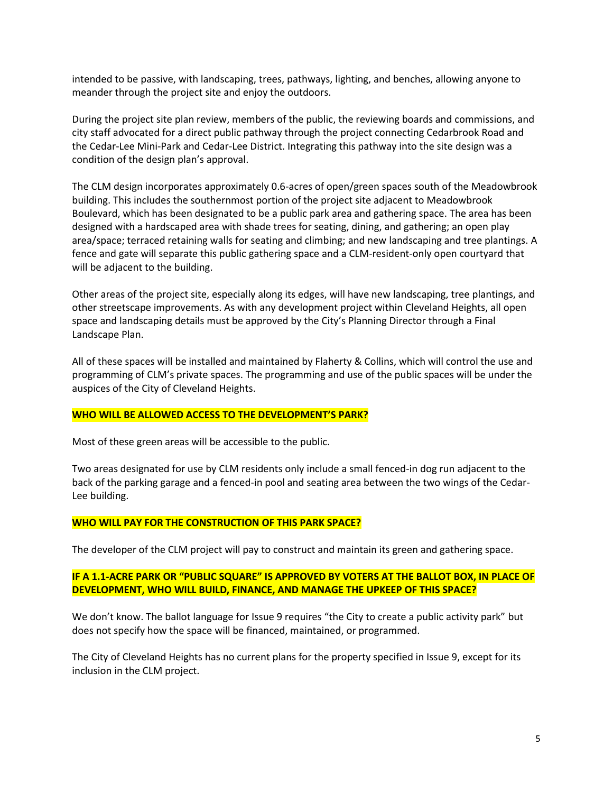intended to be passive, with landscaping, trees, pathways, lighting, and benches, allowing anyone to meander through the project site and enjoy the outdoors.

During the project site plan review, members of the public, the reviewing boards and commissions, and city staff advocated for a direct public pathway through the project connecting Cedarbrook Road and the Cedar-Lee Mini-Park and Cedar-Lee District. Integrating this pathway into the site design was a condition of the design plan's approval.

The CLM design incorporates approximately 0.6-acres of open/green spaces south of the Meadowbrook building. This includes the southernmost portion of the project site adjacent to Meadowbrook Boulevard, which has been designated to be a public park area and gathering space. The area has been designed with a hardscaped area with shade trees for seating, dining, and gathering; an open play area/space; terraced retaining walls for seating and climbing; and new landscaping and tree plantings. A fence and gate will separate this public gathering space and a CLM-resident-only open courtyard that will be adjacent to the building.

Other areas of the project site, especially along its edges, will have new landscaping, tree plantings, and other streetscape improvements. As with any development project within Cleveland Heights, all open space and landscaping details must be approved by the City's Planning Director through a Final Landscape Plan.

All of these spaces will be installed and maintained by Flaherty & Collins, which will control the use and programming of CLM's private spaces. The programming and use of the public spaces will be under the auspices of the City of Cleveland Heights.

#### **WHO WILL BE ALLOWED ACCESS TO THE DEVELOPMENT'S PARK?**

Most of these green areas will be accessible to the public.

Two areas designated for use by CLM residents only include a small fenced-in dog run adjacent to the back of the parking garage and a fenced-in pool and seating area between the two wings of the Cedar-Lee building.

#### **WHO WILL PAY FOR THE CONSTRUCTION OF THIS PARK SPACE?**

The developer of the CLM project will pay to construct and maintain its green and gathering space.

# **IF A 1.1-ACRE PARK OR "PUBLIC SQUARE" IS APPROVED BY VOTERS AT THE BALLOT BOX, IN PLACE OF DEVELOPMENT, WHO WILL BUILD, FINANCE, AND MANAGE THE UPKEEP OF THIS SPACE?**

We don't know. The ballot language for Issue 9 requires "the City to create a public activity park" but does not specify how the space will be financed, maintained, or programmed.

The City of Cleveland Heights has no current plans for the property specified in Issue 9, except for its inclusion in the CLM project.